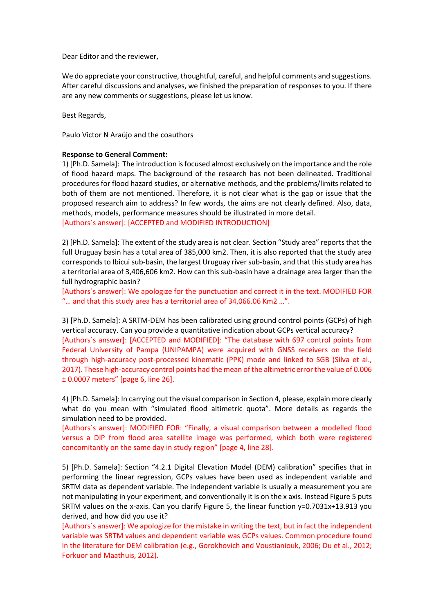Dear Editor and the reviewer,

We do appreciate your constructive, thoughtful, careful, and helpful comments and suggestions. After careful discussions and analyses, we finished the preparation of responses to you. If there are any new comments or suggestions, please let us know.

Best Regards,

Paulo Victor N Araújo and the coauthors

## **Response to General Comment:**

1) [Ph.D. Samela]: The introduction is focused almost exclusively on the importance and the role of flood hazard maps. The background of the research has not been delineated. Traditional procedures for flood hazard studies, or alternative methods, and the problems/limits related to both of them are not mentioned. Therefore, it is not clear what is the gap or issue that the proposed research aim to address? In few words, the aims are not clearly defined. Also, data, methods, models, performance measures should be illustrated in more detail.

[Authors´s answer]: [ACCEPTED and MODIFIED INTRODUCTION]

2) [Ph.D. Samela]: The extent of the study area is not clear. Section "Study area" reports that the full Uruguay basin has a total area of 385,000 km2. Then, it is also reported that the study area corresponds to Ibicui sub-basin, the largest Uruguay river sub-basin, and that this study area has a territorial area of 3,406,606 km2. How can this sub-basin have a drainage area larger than the full hydrographic basin?

[Authors´s answer]: We apologize for the punctuation and correct it in the text. MODIFIED FOR "… and that this study area has a territorial area of 34,066.06 Km2 …".

3) [Ph.D. Samela]: A SRTM-DEM has been calibrated using ground control points (GCPs) of high vertical accuracy. Can you provide a quantitative indication about GCPs vertical accuracy? [Authors´s answer]: [ACCEPTED and MODIFIED]: "The database with 697 control points from Federal University of Pampa (UNIPAMPA) were acquired with GNSS receivers on the field through high-accuracy post-processed kinematic (PPK) mode and linked to SGB (Silva et al., 2017). These high-accuracy control points had the mean of the altimetric error the value of 0.006 ± 0.0007 meters" [page 6, line 26].

4) [Ph.D. Samela]: In carrying out the visual comparison in Section 4, please, explain more clearly what do you mean with "simulated flood altimetric quota". More details as regards the simulation need to be provided.

[Authors´s answer]: MODIFIED FOR: "Finally, a visual comparison between a modelled flood versus a DIP from flood area satellite image was performed, which both were registered concomitantly on the same day in study region" [page 4, line 28].

5) [Ph.D. Samela]: Section "4.2.1 Digital Elevation Model (DEM) calibration" specifies that in performing the linear regression, GCPs values have been used as independent variable and SRTM data as dependent variable. The independent variable is usually a measurement you are not manipulating in your experiment, and conventionally it is on the x axis. Instead Figure 5 puts SRTM values on the x-axis. Can you clarify Figure 5, the linear function y=0.7031x+13.913 you derived, and how did you use it?

[Authors´s answer]: We apologize for the mistake in writing the text, but in fact the independent variable was SRTM values and dependent variable was GCPs values. Common procedure found in the literature for DEM calibration (e.g., Gorokhovich and Voustianiouk, 2006; Du et al., 2012; Forkuor and Maathuis, 2012).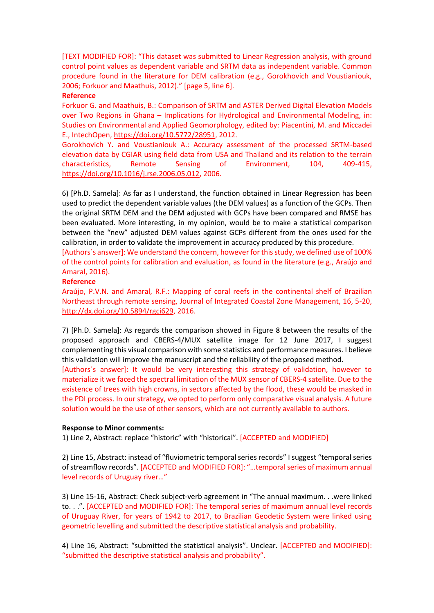[TEXT MODIFIED FOR]: "This dataset was submitted to Linear Regression analysis, with ground control point values as dependent variable and SRTM data as independent variable. Common procedure found in the literature for DEM calibration (e.g., Gorokhovich and Voustianiouk, 2006; Forkuor and Maathuis, 2012)." [page 5, line 6].

## **Reference**

Forkuor G. and Maathuis, B.: Comparison of SRTM and ASTER Derived Digital Elevation Models over Two Regions in Ghana – Implications for Hydrological and Environmental Modeling, in: Studies on Environmental and Applied Geomorphology, edited by: Piacentini, M. and Miccadei E., IntechOpen, [https://doi.org/10.5772/28951,](https://doi.org/10.5772/28951) 2012.

Gorokhovich Y. and Voustianiouk A.: Accuracy assessment of the processed SRTM-based elevation data by CGIAR using field data from USA and Thailand and its relation to the terrain characteristics, Remote Sensing of Environment, 104, 409-415, [https://doi.org/10.1016/j.rse.2006.05.012,](https://doi.org/10.1016/j.rse.2006.05.012) 2006.

6) [Ph.D. Samela]: As far as I understand, the function obtained in Linear Regression has been used to predict the dependent variable values (the DEM values) as a function of the GCPs. Then the original SRTM DEM and the DEM adjusted with GCPs have been compared and RMSE has been evaluated. More interesting, in my opinion, would be to make a statistical comparison between the "new" adjusted DEM values against GCPs different from the ones used for the calibration, in order to validate the improvement in accuracy produced by this procedure.

[Authors´s answer]: We understand the concern, however for this study, we defined use of 100% of the control points for calibration and evaluation, as found in the literature (e.g., Araújo and Amaral, 2016).

## **Reference**

Araújo, P.V.N. and Amaral, R.F.: Mapping of coral reefs in the continental shelf of Brazilian Northeast through remote sensing, Journal of Integrated Coastal Zone Management, 16, 5-20, [http://dx.doi.org/10.5894/rgci629,](http://dx.doi.org/10.5894/rgci629) 2016.

7) [Ph.D. Samela]: As regards the comparison showed in Figure 8 between the results of the proposed approach and CBERS-4/MUX satellite image for 12 June 2017, I suggest complementing this visual comparison with some statistics and performance measures. I believe this validation will improve the manuscript and the reliability of the proposed method.

[Authors´s answer]: It would be very interesting this strategy of validation, however to materialize it we faced the spectral limitation of the MUX sensor of CBERS-4 satellite. Due to the existence of trees with high crowns, in sectors affected by the flood, these would be masked in the PDI process. In our strategy, we opted to perform only comparative visual analysis. A future solution would be the use of other sensors, which are not currently available to authors.

## **Response to Minor comments:**

1) Line 2, Abstract: replace "historic" with "historical". [ACCEPTED and MODIFIED]

2) Line 15, Abstract: instead of "fluviometric temporal series records" I suggest "temporal series of streamflow records". [ACCEPTED and MODIFIED FOR]: "…temporal series of maximum annual level records of Uruguay river…"

3) Line 15-16, Abstract: Check subject-verb agreement in "The annual maximum. . .were linked to. . .". [ACCEPTED and MODIFIED FOR]: The temporal series of maximum annual level records of Uruguay River, for years of 1942 to 2017, to Brazilian Geodetic System were linked using geometric levelling and submitted the descriptive statistical analysis and probability.

4) Line 16, Abstract: "submitted the statistical analysis". Unclear. [ACCEPTED and MODIFIED]: "submitted the descriptive statistical analysis and probability".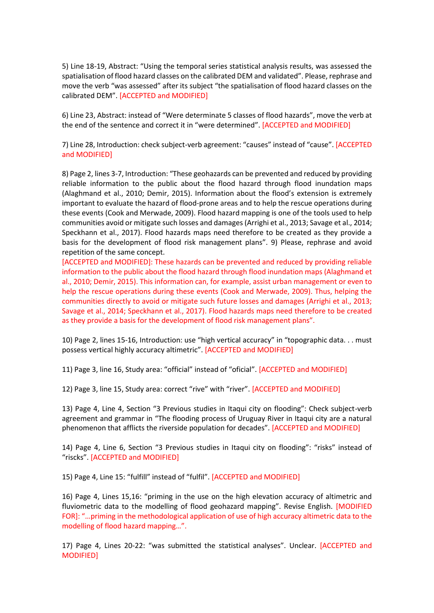5) Line 18-19, Abstract: "Using the temporal series statistical analysis results, was assessed the spatialisation of flood hazard classes on the calibrated DEM and validated". Please, rephrase and move the verb "was assessed" after its subject "the spatialisation of flood hazard classes on the calibrated DEM". [ACCEPTED and MODIFIED]

6) Line 23, Abstract: instead of "Were determinate 5 classes of flood hazards", move the verb at the end of the sentence and correct it in "were determined". [ACCEPTED and MODIFIED]

7) Line 28, Introduction: check subject-verb agreement: "causes" instead of "cause". [ACCEPTED and MODIFIED]

8) Page 2, lines 3-7, Introduction: "These geohazards can be prevented and reduced by providing reliable information to the public about the flood hazard through flood inundation maps (Alaghmand et al., 2010; Demir, 2015). Information about the flood's extension is extremely important to evaluate the hazard of flood-prone areas and to help the rescue operations during these events (Cook and Merwade, 2009). Flood hazard mapping is one of the tools used to help communities avoid or mitigate such losses and damages (Arrighi et al., 2013; Savage et al., 2014; Speckhann et al., 2017). Flood hazards maps need therefore to be created as they provide a basis for the development of flood risk management plans". 9) Please, rephrase and avoid repetition of the same concept.

[ACCEPTED and MODIFIED]: These hazards can be prevented and reduced by providing reliable information to the public about the flood hazard through flood inundation maps (Alaghmand et al., 2010; Demir, 2015). This information can, for example, assist urban management or even to help the rescue operations during these events (Cook and Merwade, 2009). Thus, helping the communities directly to avoid or mitigate such future losses and damages (Arrighi et al., 2013; Savage et al., 2014; Speckhann et al., 2017). Flood hazards maps need therefore to be created as they provide a basis for the development of flood risk management plans".

10) Page 2, lines 15-16, Introduction: use "high vertical accuracy" in "topographic data. . . must possess vertical highly accuracy altimetric". [ACCEPTED and MODIFIED]

11) Page 3, line 16, Study area: "official" instead of "oficial". [ACCEPTED and MODIFIED]

12) Page 3, line 15, Study area: correct "rive" with "river". [ACCEPTED and MODIFIED]

13) Page 4, Line 4, Section "3 Previous studies in Itaqui city on flooding": Check subject-verb agreement and grammar in "The flooding process of Uruguay River in Itaqui city are a natural phenomenon that afflicts the riverside population for decades". [ACCEPTED and MODIFIED]

14) Page 4, Line 6, Section "3 Previous studies in Itaqui city on flooding": "risks" instead of "riscks". [ACCEPTED and MODIFIED]

15) Page 4, Line 15: "fulfill" instead of "fulfil". [ACCEPTED and MODIFIED]

16) Page 4, Lines 15,16: "priming in the use on the high elevation accuracy of altimetric and fluviometric data to the modelling of flood geohazard mapping". Revise English. [MODIFIED FOR]: "…priming in the methodological application of use of high accuracy altimetric data to the modelling of flood hazard mapping…".

17) Page 4, Lines 20-22: "was submitted the statistical analyses". Unclear. [ACCEPTED and MODIFIED]